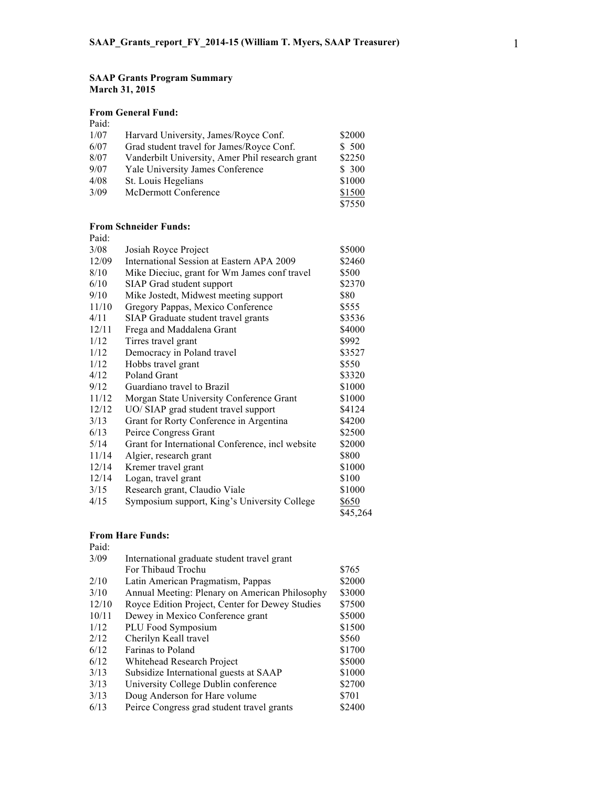### **SAAP Grants Program Summary March 31, 2015**

## **From General Fund:**

Paid:

| i aiu. |                                                 |        |
|--------|-------------------------------------------------|--------|
| 1/07   | Harvard University, James/Royce Conf.           | \$2000 |
| 6/07   | Grad student travel for James/Royce Conf.       | \$ 500 |
| 8/07   | Vanderbilt University, Amer Phil research grant | \$2250 |
| 9/07   | Yale University James Conference                | \$300  |
| 4/08   | St. Louis Hegelians                             | \$1000 |
| 3/09   | McDermott Conference                            | \$1500 |
|        |                                                 | \$7550 |

## **From Schneider Funds:**

| Paid: |                                                  |          |
|-------|--------------------------------------------------|----------|
| 3/08  | Josiah Royce Project                             | \$5000   |
| 12/09 | International Session at Eastern APA 2009        | \$2460   |
| 8/10  | Mike Dieciuc, grant for Wm James conf travel     | \$500    |
| 6/10  | SIAP Grad student support                        | \$2370   |
| 9/10  | Mike Jostedt, Midwest meeting support            | \$80     |
| 11/10 | Gregory Pappas, Mexico Conference                | \$555    |
| 4/11  | SIAP Graduate student travel grants              | \$3536   |
| 12/11 | Frega and Maddalena Grant                        | \$4000   |
| 1/12  | Tirres travel grant                              | \$992    |
| 1/12  | Democracy in Poland travel                       | \$3527   |
| 1/12  | Hobbs travel grant                               | \$550    |
| 4/12  | <b>Poland Grant</b>                              | \$3320   |
| 9/12  | Guardiano travel to Brazil                       | \$1000   |
| 11/12 | Morgan State University Conference Grant         | \$1000   |
| 12/12 | UO/ SIAP grad student travel support             | \$4124   |
| 3/13  | Grant for Rorty Conference in Argentina          | \$4200   |
| 6/13  | Peirce Congress Grant                            | \$2500   |
| 5/14  | Grant for International Conference, incl website | \$2000   |
| 11/14 | Algier, research grant                           | \$800    |
| 12/14 | Kremer travel grant                              | \$1000   |
| 12/14 | Logan, travel grant                              | \$100    |
| 3/15  | Research grant, Claudio Viale                    | \$1000   |
| 4/15  | Symposium support, King's University College     | \$650    |
|       |                                                  | \$45,264 |

#### **From Hare Funds:** Paid:

| Paid. |                                                 |        |  |
|-------|-------------------------------------------------|--------|--|
| 3/09  | International graduate student travel grant     |        |  |
|       | For Thibaud Trochu                              | \$765  |  |
| 2/10  | Latin American Pragmatism, Pappas               | \$2000 |  |
| 3/10  | Annual Meeting: Plenary on American Philosophy  | \$3000 |  |
| 12/10 | Royce Edition Project, Center for Dewey Studies | \$7500 |  |
| 10/11 | Dewey in Mexico Conference grant                | \$5000 |  |
| 1/12  | PLU Food Symposium                              | \$1500 |  |
| 2/12  | Cherilyn Keall travel                           | \$560  |  |
| 6/12  | Farinas to Poland                               | \$1700 |  |
| 6/12  | Whitehead Research Project                      | \$5000 |  |
| 3/13  | Subsidize International guests at SAAP          | \$1000 |  |
| 3/13  | University College Dublin conference            | \$2700 |  |
| 3/13  | Doug Anderson for Hare volume                   | \$701  |  |
| 6/13  | Peirce Congress grad student travel grants      | \$2400 |  |
|       |                                                 |        |  |